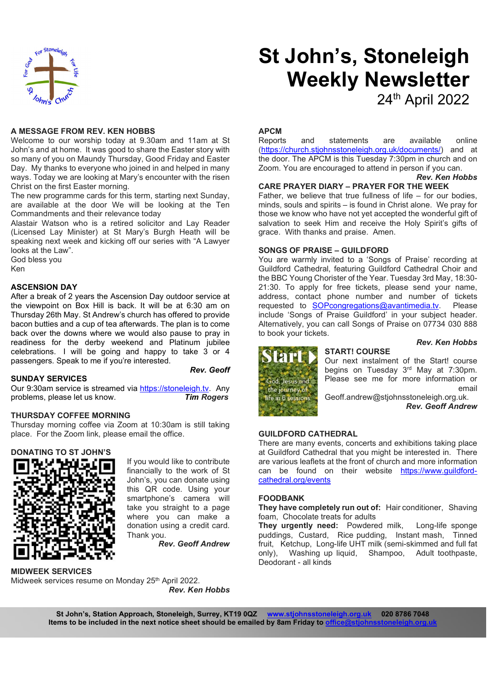

#### A MESSAGE FROM REV. KEN HOBBS

Welcome to our worship today at 9.30am and 11am at St John's and at home. It was good to share the Easter story with so many of you on Maundy Thursday, Good Friday and Easter Day. My thanks to everyone who joined in and helped in many ways. Today we are looking at Mary's encounter with the risen Christ on the first Easter morning.

The new programme cards for this term, starting next Sunday, are available at the door We will be looking at the Ten Commandments and their relevance today

Alastair Watson who is a retired solicitor and Lay Reader (Licensed Lay Minister) at St Mary's Burgh Heath will be speaking next week and kicking off our series with "A Lawyer looks at the Law".

God bless you

Ken

#### ASCENSION DAY

After a break of 2 years the Ascension Day outdoor service at the viewpoint on Box Hill is back. It will be at 6:30 am on Thursday 26th May. St Andrew's church has offered to provide bacon butties and a cup of tea afterwards. The plan is to come back over the downs where we would also pause to pray in readiness for the derby weekend and Platinum jubilee celebrations. I will be going and happy to take 3 or 4 passengers. Speak to me if you're interested.

Rev. Geoff

#### SUNDAY SERVICES

**SUNDAY SERVICES**<br>Our 9:30am service is streamed via <u>https://stoneleigh.tv</u>. Any the journey of problems, please let us know. Tim Rogers and the in 6 set

#### THURSDAY COFFEE MORNING

Thursday morning coffee via Zoom at 10:30am is still taking place. For the Zoom link, please email the office.

#### DONATING TO ST JOHN'S



If you would like to contribute financially to the work of St John's, you can donate using this QR code. Using your smartphone's camera will take you straight to a page where you can make a donation using a credit card. Thank you.

Rev. Geoff Andrew

MIDWEEK SERVICES Midweek services resume on Monday 25<sup>th</sup> April 2022. Rev. Ken Hobbs

# St John's, Stoneleigh Weekly Newsletter

24th April 2022

#### APCM

statements are available online (https://church.stjohnsstoneleigh.org.uk/documents/) and at the door. The APCM is this Tuesday 7:30pm in church and on Zoom. You are encouraged to attend in person if you can.

## Rev. Ken Hobbs

#### CARE PRAYER DIARY – PRAYER FOR THE WEEK

Father, we believe that true fullness of life – for our bodies, minds, souls and spirits – is found in Christ alone. We pray for those we know who have not yet accepted the wonderful gift of salvation to seek Him and receive the Holy Spirit's gifts of grace. With thanks and praise. Amen.

#### SONGS OF PRAISE – GUILDFORD

You are warmly invited to a 'Songs of Praise' recording at Guildford Cathedral, featuring Guildford Cathedral Choir and the BBC Young Chorister of the Year. Tuesday 3rd May, 18:30- 21:30. To apply for free tickets, please send your name, address, contact phone number and number of tickets requested to SOPcongregations@avantimedia.tv. Please include 'Songs of Praise Guildford' in your subject header. Alternatively, you can call Songs of Praise on 07734 030 888 to book your tickets.

START! COURSE

#### Rev. Ken Hobbs



Our next instalment of the Start! course begins on Tuesday 3rd May at 7:30pm. Please see me for more information or email

Geoff.andrew@stjohnsstoneleigh.org.uk. Rev. Geoff Andrew

#### GUILDFORD CATHEDRAL

There are many events, concerts and exhibitions taking place at Guildford Cathedral that you might be interested in. There are various leaflets at the front of church and more information can be found on their website https://www.guildfordcathedral.org/events

#### FOODBANK

They have completely run out of: Hair conditioner, Shaving foam, Chocolate treats for adults

They urgently need: Powdered milk, Long-life sponge puddings, Custard, Rice pudding, Instant mash, Tinned fruit, Ketchup, Long-life UHT milk (semi-skimmed and full fat only), Washing up liquid, Shampoo, Adult toothpaste, Deodorant - all kinds

St John's, Station Approach, Stoneleigh, Surrey, KT19 0QZ www.stjohnsstoneleigh.org.uk 020 8786 7048 Items to be included in the next notice sheet should be emailed by 8am Friday to office@stjohns